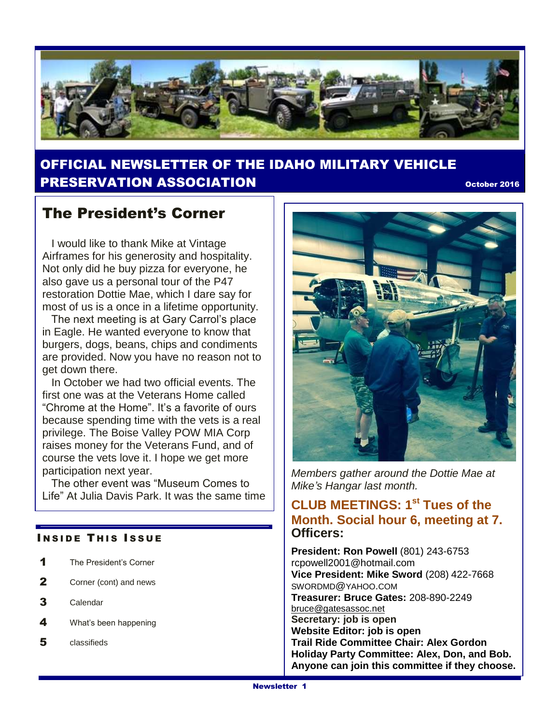

# OFFICIAL NEWSLETTER OF THE IDAHO MILITARY VEHICLE **PRESERVATION ASSOCIATION CONSUMING THE CONSUMING OCTOBER 2016**

## The President's Corner

 I would like to thank Mike at Vintage Airframes for his generosity and hospitality. Not only did he buy pizza for everyone, he also gave us a personal tour of the P47 restoration Dottie Mae, which I dare say for most of us is a once in a lifetime opportunity.

 The next meeting is at Gary Carrol's place in Eagle. He wanted everyone to know that burgers, dogs, beans, chips and condiments are provided. Now you have no reason not to get down there.

 In October we had two official events. The first one was at the Veterans Home called "Chrome at the Home". It's a favorite of ours because spending time with the vets is a real privilege. The Boise Valley POW MIA Corp raises money for the Veterans Fund, and of course the vets love it. I hope we get more participation next year.

 The other event was "Museum Comes to Life" At Julia Davis Park. It was the same time

#### **INSIDE THIS ISSUE**

- 1 The President's Corner
- 2 Corner (cont) and news
- 3 Calendar
- 4 What's been happening
- 5 classifieds



*Members gather around the Dottie Mae at Mike's Hangar last month.*

### **CLUB MEETINGS: 1st Tues of the Month. Social hour 6, meeting at 7. Officers:**

**President: Ron Powell** (801) 243-6753 rcpowell2001@hotmail.com **Vice President: Mike Sword** (208) 422-7668 SWORDMD@YAHOO.COM **Treasurer: Bruce Gates:** 208-890-2249 [bruce@gatesassoc.net](mailto:bruce@gatesassoc.net) **Secretary: job is open Website Editor: job is open Trail Ride Committee Chair: Alex Gordon Holiday Party Committee: Alex, Don, and Bob. Anyone can join this committee if they choose.**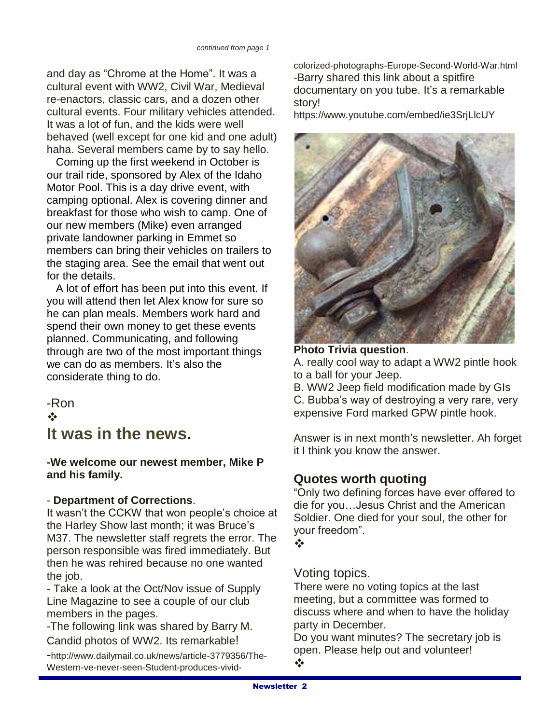and day as "Chrome at the Home". It was a cultural event with WW2, Civil War, Medieval re-enactors, classic cars, and a dozen other cultural events. Four military vehicles attended. It was a lot of fun, and the kids were well behaved (well except for one kid and one adult) haha. Several members came by to say hello.

 Coming up the first weekend in October is our trail ride, sponsored by Alex of the Idaho Motor Pool. This is a day drive event, with camping optional. Alex is covering dinner and breakfast for those who wish to camp. One of our new members (Mike) even arranged private landowner parking in Emmet so members can bring their vehicles on trailers to the staging area. See the email that went out for the details.

 A lot of effort has been put into this event. If you will attend then let Alex know for sure so he can plan meals. Members work hard and spend their own money to get these events planned. Communicating, and following through are two of the most important things we can do as members. It's also the considerate thing to do.

# -Ron  $\frac{1}{2}$ **It was in the news.**

**-We welcome our newest member, Mike P and his family.** 

### - **Department of Corrections**.

It wasn't the CCKW that won people's choice at the Harley Show last month; it was Bruce's M37. The newsletter staff regrets the error. The person responsible was fired immediately. But then he was rehired because no one wanted the job.

- Take a look at the Oct/Nov issue of Supply Line Magazine to see a couple of our club members in the pages.

-The following link was shared by Barry M. Candid photos of WW2. Its remarkable!

-http://www.dailymail.co.uk/news/article-3779356/The-Western-ve-never-seen-Student-produces-vividcolorized-photographs-Europe-Second-World-War.html -Barry shared this link about a spitfire documentary on you tube. It's a remarkable story!

https://www.youtube.com/embed/ie3SrjLlcUY



#### **Photo Trivia question**.

A. really cool way to adapt a WW2 pintle hook to a ball for your Jeep.

B. WW2 Jeep field modification made by GIs C. Bubba's way of destroying a very rare, very expensive Ford marked GPW pintle hook.

Answer is in next month's newsletter. Ah forget it I think you know the answer.

## **Quotes worth quoting**

"Only two defining forces have ever offered to die for you…Jesus Christ and the American Soldier. One died for your soul, the other for your freedom".

 $\frac{1}{2}$ 

### Voting topics.

There were no voting topics at the last meeting, but a committee was formed to discuss where and when to have the holiday party in December.

Do you want minutes? The secretary job is open. Please help out and volunteer!  $\frac{1}{2}$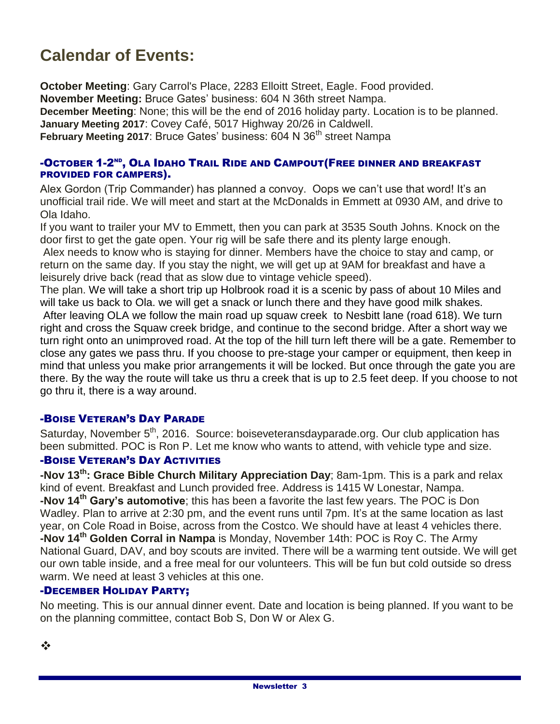# **Calendar of Events:**

**October Meeting**: Gary Carrol's Place, 2283 Elloitt Street, Eagle. Food provided. **November Meeting:** Bruce Gates' business: 604 N 36th street Nampa. **December Meeting**: None; this will be the end of 2016 holiday party. Location is to be planned. **January Meeting 2017**: Covey Café, 5017 Highway 20/26 in Caldwell. **February Meeting 2017: Bruce Gates' business: 604 N 36<sup>th</sup> street Nampa** 

#### -OCTOBER 1-2<sup>ND</sup>, OLA IDAHO TRAIL RIDE AND CAMPOUT(FREE DINNER AND BREAKFAST PROVIDED FOR CAMPERS).

Alex Gordon (Trip Commander) has planned a convoy. Oops we can't use that word! It's an unofficial trail ride. We will meet and start at the McDonalds in Emmett at 0930 AM, and drive to Ola Idaho.

If you want to trailer your MV to Emmett, then you can park at 3535 South Johns. Knock on the door first to get the gate open. Your rig will be safe there and its plenty large enough.

Alex needs to know who is staying for dinner. Members have the choice to stay and camp, or return on the same day. If you stay the night, we will get up at 9AM for breakfast and have a leisurely drive back (read that as slow due to vintage vehicle speed).

The plan. We will take a short trip up Holbrook road it is a scenic by pass of about 10 Miles and will take us back to Ola. we will get a snack or lunch there and they have good milk shakes.

After leaving OLA we follow the main road up squaw creek to Nesbitt lane (road 618). We turn right and cross the Squaw creek bridge, and continue to the second bridge. After a short way we turn right onto an unimproved road. At the top of the hill turn left there will be a gate. Remember to close any gates we pass thru. If you choose to pre-stage your camper or equipment, then keep in mind that unless you make prior arrangements it will be locked. But once through the gate you are there. By the way the route will take us thru a creek that is up to 2.5 feet deep. If you choose to not go thru it, there is a way around.

#### -BOISE VETERAN'S DAY PARADE

Saturday, November  $5<sup>th</sup>$ , 2016. Source: boiseveteransdayparade.org. Our club application has been submitted. POC is Ron P. Let me know who wants to attend, with vehicle type and size.

#### -BOISE VETERAN'S DAY ACTIVITIES

**-Nov 13th: Grace Bible Church Military Appreciation Day**; 8am-1pm. This is a park and relax kind of event. Breakfast and Lunch provided free. Address is 1415 W Lonestar, Nampa. **-Nov 14th Gary's automotive**; this has been a favorite the last few years. The POC is Don Wadley. Plan to arrive at 2:30 pm, and the event runs until 7pm. It's at the same location as last year, on Cole Road in Boise, across from the Costco. We should have at least 4 vehicles there. **-Nov 14th Golden Corral in Nampa** is Monday, November 14th: POC is Roy C. The Army National Guard, DAV, and boy scouts are invited. There will be a warming tent outside. We will get our own table inside, and a free meal for our volunteers. This will be fun but cold outside so dress warm. We need at least 3 vehicles at this one.

### -DECEMBER HOLIDAY PARTY;

No meeting. This is our annual dinner event. Date and location is being planned. If you want to be on the planning committee, contact Bob S, Don W or Alex G.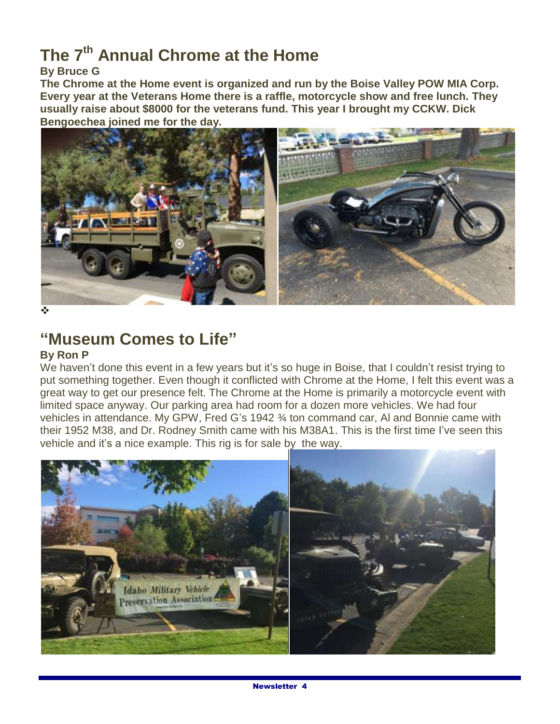# **The 7th Annual Chrome at the Home**

#### **By Bruce G**

**The Chrome at the Home event is organized and run by the Boise Valley POW MIA Corp. Every year at the Veterans Home there is a raffle, motorcycle show and free lunch. They usually raise about \$8000 for the veterans fund. This year I brought my CCKW. Dick Bengoechea joined me for the day.**



❖

# **"Museum Comes to Life"**

#### **By Ron P**

We haven't done this event in a few years but it's so huge in Boise, that I couldn't resist trying to put something together. Even though it conflicted with Chrome at the Home, I felt this event was a great way to get our presence felt. The Chrome at the Home is primarily a motorcycle event with limited space anyway. Our parking area had room for a dozen more vehicles. We had four vehicles in attendance. My GPW, Fred G's 1942 ¾ ton command car, Al and Bonnie came with their 1952 M38, and Dr. Rodney Smith came with his M38A1. This is the first time I've seen this vehicle and it's a nice example. This rig is for sale by the way.